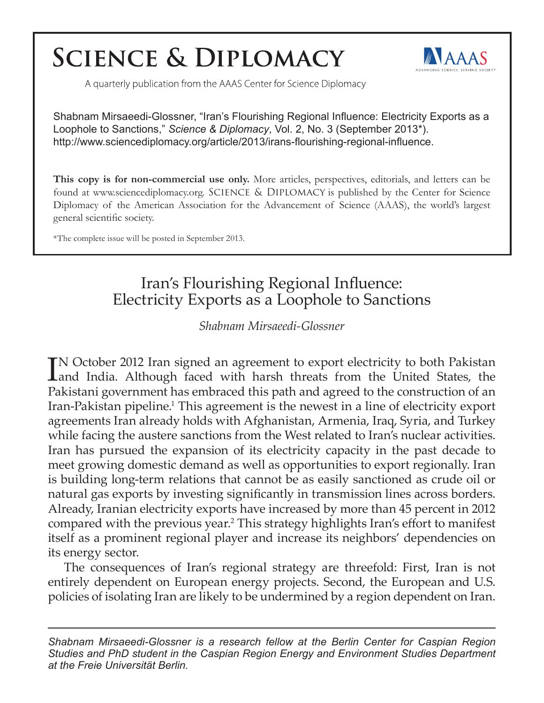# **SCIENCE & DIPLOMACY**



A quarterly publication from the AAAS Center for Science Diplomacy

Shabnam Mirsaeedi-Glossner, "Iran's Flourishing Regional Influence: Electricity Exports as a Loophole to Sanctions," *Science & Diplomacy*, Vol. 2, No. 3 (September 2013\*). http://www.sciencediplomacy.org/article/2013/irans-flourishing-regional-influence.

**This copy is for non-commercial use only.** More articles, perspectives, editorials, and letters can be found at www.sciencediplomacy.org. SCIENCE & DIPLOMACY is published by the Center for Science Diplomacy of the American Association for the Advancement of Science (AAAS), the world's largest general scientific society.

\*The complete issue will be posted in September 2013.

## Iran's Flourishing Regional Influence: Electricity Exports as a Loophole to Sanctions

*Shabnam Mirsaeedi-Glossner*

IN October 2012 Iran signed an agreement to export electricity to both Pakistan Land India. Although faced with harsh threats from the United States, the Land India. Although faced with harsh threats from the United States, the Pakistani government has embraced this path and agreed to the construction of an Iran-Pakistan pipeline.<sup>1</sup> This agreement is the newest in a line of electricity export agreements Iran already holds with Afghanistan, Armenia, Iraq, Syria, and Turkey while facing the austere sanctions from the West related to Iran's nuclear activities. Iran has pursued the expansion of its electricity capacity in the past decade to meet growing domestic demand as well as opportunities to export regionally. Iran is building long-term relations that cannot be as easily sanctioned as crude oil or natural gas exports by investing significantly in transmission lines across borders. Already, Iranian electricity exports have increased by more than 45 percent in 2012 compared with the previous year.<sup>2</sup> This strategy highlights Iran's effort to manifest itself as a prominent regional player and increase its neighbors' dependencies on its energy sector.

The consequences of Iran's regional strategy are threefold: First, Iran is not entirely dependent on European energy projects. Second, the European and U.S. policies of isolating Iran are likely to be undermined by a region dependent on Iran.

*Shabnam Mirsaeedi-Glossner is a research fellow at the Berlin Center for Caspian Region Studies and PhD student in the Caspian Region Energy and Environment Studies Department at the Freie Universität Berlin.*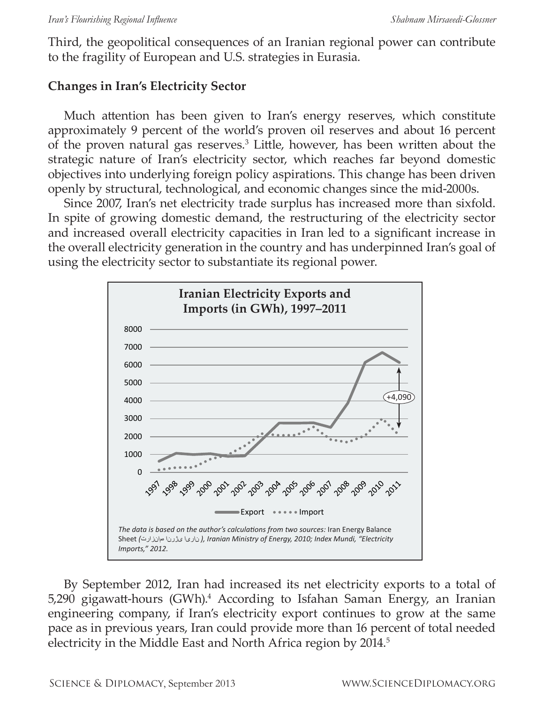Third, the geopolitical consequences of an Iranian regional power can contribute to the fragility of European and U.S. strategies in Eurasia.

### **Changes in Iran's Electricity Sector**

Much attention has been given to Iran's energy reserves, which constitute approximately 9 percent of the world's proven oil reserves and about 16 percent of the proven natural gas reserves.<sup>3</sup> Little, however, has been written about the strategic nature of Iran's electricity sector, which reaches far beyond domestic objectives into underlying foreign policy aspirations. This change has been driven openly by structural, technological, and economic changes since the mid-2000s.

Since 2007, Iran's net electricity trade surplus has increased more than sixfold. In spite of growing domestic demand, the restructuring of the electricity sector and increased overall electricity capacities in Iran led to a significant increase in the overall electricity generation in the country and has underpinned Iran's goal of using the electricity sector to substantiate its regional power.



By September 2012, Iran had increased its net electricity exports to a total of 5,290 gigawatt-hours (GWh).4 According to Isfahan Saman Energy, an Iranian engineering company, if Iran's electricity export continues to grow at the same pace as in previous years, Iran could provide more than 16 percent of total needed electricity in the Middle East and North Africa region by 2014.<sup>5</sup>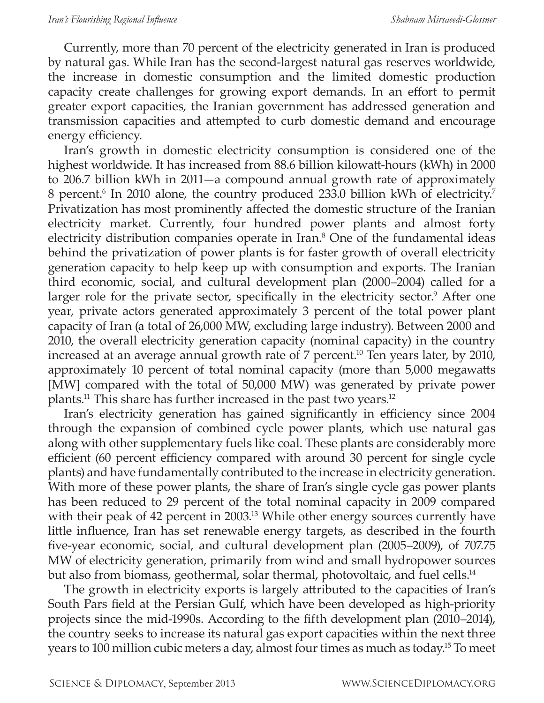Currently, more than 70 percent of the electricity generated in Iran is produced by natural gas. While Iran has the second-largest natural gas reserves worldwide, the increase in domestic consumption and the limited domestic production capacity create challenges for growing export demands. In an effort to permit greater export capacities, the Iranian government has addressed generation and transmission capacities and attempted to curb domestic demand and encourage energy efficiency.

Iran's growth in domestic electricity consumption is considered one of the highest worldwide. It has increased from 88.6 billion kilowatt-hours (kWh) in 2000 to 206.7 billion kWh in 2011—a compound annual growth rate of approximately 8 percent.<sup>6</sup> In 2010 alone, the country produced 233.0 billion kWh of electricity.<sup>7</sup> Privatization has most prominently affected the domestic structure of the Iranian electricity market. Currently, four hundred power plants and almost forty electricity distribution companies operate in Iran.<sup>8</sup> One of the fundamental ideas behind the privatization of power plants is for faster growth of overall electricity generation capacity to help keep up with consumption and exports. The Iranian third economic, social, and cultural development plan (2000–2004) called for a larger role for the private sector, specifically in the electricity sector.<sup>9</sup> After one year, private actors generated approximately 3 percent of the total power plant capacity of Iran (a total of 26,000 MW, excluding large industry). Between 2000 and 2010, the overall electricity generation capacity (nominal capacity) in the country increased at an average annual growth rate of 7 percent.<sup>10</sup> Ten years later, by 2010, approximately 10 percent of total nominal capacity (more than 5,000 megawatts [MW] compared with the total of 50,000 MW) was generated by private power plants.11 This share has further increased in the past two years.12

Iran's electricity generation has gained significantly in efficiency since 2004 through the expansion of combined cycle power plants, which use natural gas along with other supplementary fuels like coal. These plants are considerably more efficient (60 percent efficiency compared with around 30 percent for single cycle plants) and have fundamentally contributed to the increase in electricity generation. With more of these power plants, the share of Iran's single cycle gas power plants has been reduced to 29 percent of the total nominal capacity in 2009 compared with their peak of 42 percent in 2003.<sup>13</sup> While other energy sources currently have little influence, Iran has set renewable energy targets, as described in the fourth five-year economic, social, and cultural development plan (2005–2009), of 707.75 MW of electricity generation, primarily from wind and small hydropower sources but also from biomass, geothermal, solar thermal, photovoltaic, and fuel cells.<sup>14</sup>

The growth in electricity exports is largely attributed to the capacities of Iran's South Pars field at the Persian Gulf, which have been developed as high-priority projects since the mid-1990s. According to the fifth development plan (2010–2014), the country seeks to increase its natural gas export capacities within the next three years to 100 million cubic meters a day, almost four times as much as today.15 To meet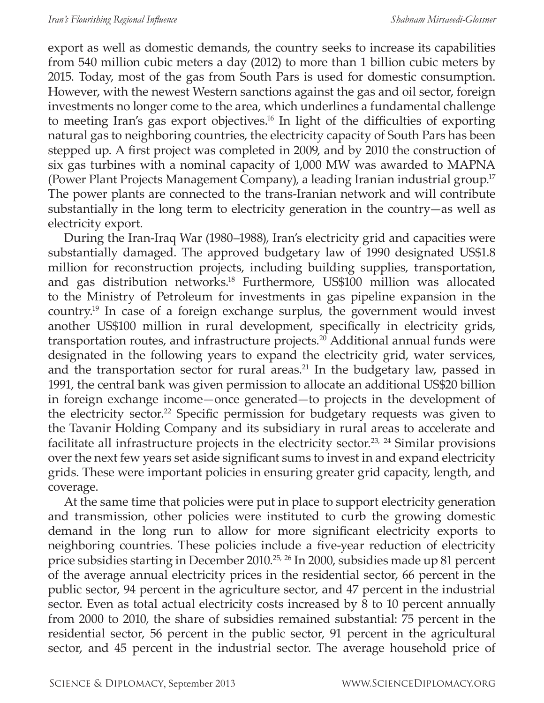export as well as domestic demands, the country seeks to increase its capabilities from 540 million cubic meters a day (2012) to more than 1 billion cubic meters by 2015. Today, most of the gas from South Pars is used for domestic consumption. However, with the newest Western sanctions against the gas and oil sector, foreign investments no longer come to the area, which underlines a fundamental challenge to meeting Iran's gas export objectives.16 In light of the difficulties of exporting natural gas to neighboring countries, the electricity capacity of South Pars has been stepped up. A first project was completed in 2009, and by 2010 the construction of six gas turbines with a nominal capacity of 1,000 MW was awarded to MAPNA (Power Plant Projects Management Company), a leading Iranian industrial group.17 The power plants are connected to the trans-Iranian network and will contribute substantially in the long term to electricity generation in the country—as well as electricity export.

During the Iran-Iraq War (1980–1988), Iran's electricity grid and capacities were substantially damaged. The approved budgetary law of 1990 designated US\$1.8 million for reconstruction projects, including building supplies, transportation, and gas distribution networks.18 Furthermore, US\$100 million was allocated to the Ministry of Petroleum for investments in gas pipeline expansion in the country.19 In case of a foreign exchange surplus, the government would invest another US\$100 million in rural development, specifically in electricity grids, transportation routes, and infrastructure projects.<sup>20</sup> Additional annual funds were designated in the following years to expand the electricity grid, water services, and the transportation sector for rural areas.<sup>21</sup> In the budgetary law, passed in 1991, the central bank was given permission to allocate an additional US\$20 billion in foreign exchange income—once generated—to projects in the development of the electricity sector.<sup>22</sup> Specific permission for budgetary requests was given to the Tavanir Holding Company and its subsidiary in rural areas to accelerate and facilitate all infrastructure projects in the electricity sector.<sup>23, 24</sup> Similar provisions over the next few years set aside significant sums to invest in and expand electricity grids. These were important policies in ensuring greater grid capacity, length, and coverage.

At the same time that policies were put in place to support electricity generation and transmission, other policies were instituted to curb the growing domestic demand in the long run to allow for more significant electricity exports to neighboring countries. These policies include a five-year reduction of electricity price subsidies starting in December 2010.<sup>25, 26</sup> In 2000, subsidies made up 81 percent of the average annual electricity prices in the residential sector, 66 percent in the public sector, 94 percent in the agriculture sector, and 47 percent in the industrial sector. Even as total actual electricity costs increased by 8 to 10 percent annually from 2000 to 2010, the share of subsidies remained substantial: 75 percent in the residential sector, 56 percent in the public sector, 91 percent in the agricultural sector, and 45 percent in the industrial sector. The average household price of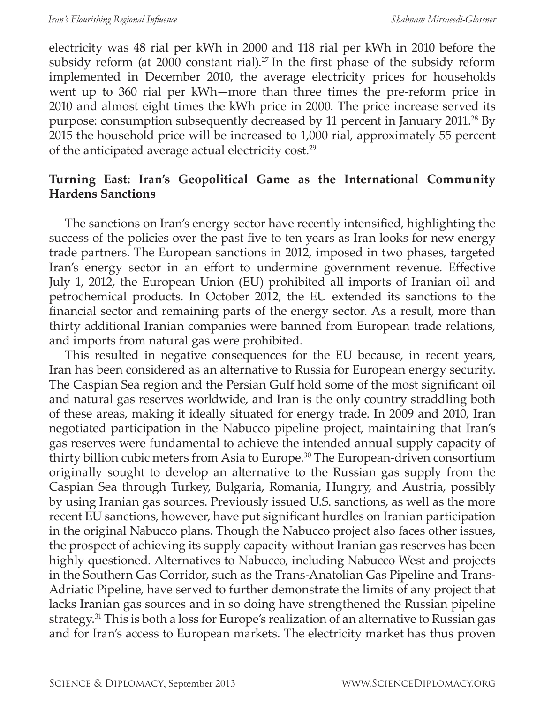electricity was 48 rial per kWh in 2000 and 118 rial per kWh in 2010 before the subsidy reform (at  $2000$  constant rial).<sup>27</sup> In the first phase of the subsidy reform implemented in December 2010, the average electricity prices for households went up to 360 rial per kWh—more than three times the pre-reform price in 2010 and almost eight times the kWh price in 2000. The price increase served its purpose: consumption subsequently decreased by 11 percent in January 2011.28 By 2015 the household price will be increased to 1,000 rial, approximately 55 percent of the anticipated average actual electricity cost.<sup>29</sup>

#### **Turning East: Iran's Geopolitical Game as the International Community Hardens Sanctions**

The sanctions on Iran's energy sector have recently intensified, highlighting the success of the policies over the past five to ten years as Iran looks for new energy trade partners. The European sanctions in 2012, imposed in two phases, targeted Iran's energy sector in an effort to undermine government revenue. Effective July 1, 2012, the European Union (EU) prohibited all imports of Iranian oil and petrochemical products. In October 2012, the EU extended its sanctions to the financial sector and remaining parts of the energy sector. As a result, more than thirty additional Iranian companies were banned from European trade relations, and imports from natural gas were prohibited.

This resulted in negative consequences for the EU because, in recent years, Iran has been considered as an alternative to Russia for European energy security. The Caspian Sea region and the Persian Gulf hold some of the most significant oil and natural gas reserves worldwide, and Iran is the only country straddling both of these areas, making it ideally situated for energy trade. In 2009 and 2010, Iran negotiated participation in the Nabucco pipeline project, maintaining that Iran's gas reserves were fundamental to achieve the intended annual supply capacity of thirty billion cubic meters from Asia to Europe.30 The European-driven consortium originally sought to develop an alternative to the Russian gas supply from the Caspian Sea through Turkey, Bulgaria, Romania, Hungry, and Austria, possibly by using Iranian gas sources. Previously issued U.S. sanctions, as well as the more recent EU sanctions, however, have put significant hurdles on Iranian participation in the original Nabucco plans. Though the Nabucco project also faces other issues, the prospect of achieving its supply capacity without Iranian gas reserves has been highly questioned. Alternatives to Nabucco, including Nabucco West and projects in the Southern Gas Corridor, such as the Trans-Anatolian Gas Pipeline and Trans-Adriatic Pipeline, have served to further demonstrate the limits of any project that lacks Iranian gas sources and in so doing have strengthened the Russian pipeline strategy.<sup>31</sup> This is both a loss for Europe's realization of an alternative to Russian gas and for Iran's access to European markets. The electricity market has thus proven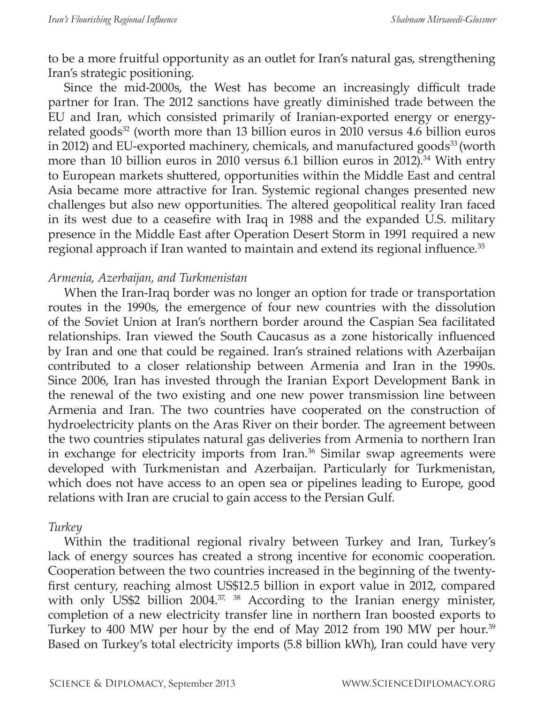to be a more fruitful opportunity as an outlet for Iran's natural gas, strengthening Iran's strategic positioning.

Since the mid-2000s, the West has become an increasingly difficult trade partner for Iran. The 2012 sanctions have greatly diminished trade between the EU and Iran, which consisted primarily of Iranian-exported energy or energyrelated goods<sup>32</sup> (worth more than 13 billion euros in 2010 versus 4.6 billion euros in 2012) and EU-exported machinery, chemicals, and manufactured goods<sup>33</sup> (worth more than 10 billion euros in 2010 versus 6.1 billion euros in 2012).<sup>34</sup> With entry to European markets shuttered, opportunities within the Middle East and central Asia became more attractive for Iran. Systemic regional changes presented new challenges but also new opportunities. The altered geopolitical reality Iran faced in its west due to a ceasefire with Iraq in 1988 and the expanded U.S. military presence in the Middle East after Operation Desert Storm in 1991 required a new regional approach if Iran wanted to maintain and extend its regional influence.<sup>35</sup>

#### *Armenia, Azerbaijan, and Turkmenistan*

When the Iran-Iraq border was no longer an option for trade or transportation routes in the 1990s, the emergence of four new countries with the dissolution of the Soviet Union at Iran's northern border around the Caspian Sea facilitated relationships. Iran viewed the South Caucasus as a zone historically influenced by Iran and one that could be regained. Iran's strained relations with Azerbaijan contributed to a closer relationship between Armenia and Iran in the 1990s. Since 2006, Iran has invested through the Iranian Export Development Bank in the renewal of the two existing and one new power transmission line between Armenia and Iran. The two countries have cooperated on the construction of hydroelectricity plants on the Aras River on their border. The agreement between the two countries stipulates natural gas deliveries from Armenia to northern Iran in exchange for electricity imports from Iran.<sup>36</sup> Similar swap agreements were developed with Turkmenistan and Azerbaijan. Particularly for Turkmenistan, which does not have access to an open sea or pipelines leading to Europe, good relations with Iran are crucial to gain access to the Persian Gulf.

#### *Turkey*

Within the traditional regional rivalry between Turkey and Iran, Turkey's lack of energy sources has created a strong incentive for economic cooperation. Cooperation between the two countries increased in the beginning of the twentyfirst century, reaching almost US\$12.5 billion in export value in 2012, compared with only US\$2 billion 2004.<sup>37, 38</sup> According to the Iranian energy minister, completion of a new electricity transfer line in northern Iran boosted exports to Turkey to 400 MW per hour by the end of May 2012 from 190 MW per hour.<sup>39</sup> Based on Turkey's total electricity imports (5.8 billion kWh), Iran could have very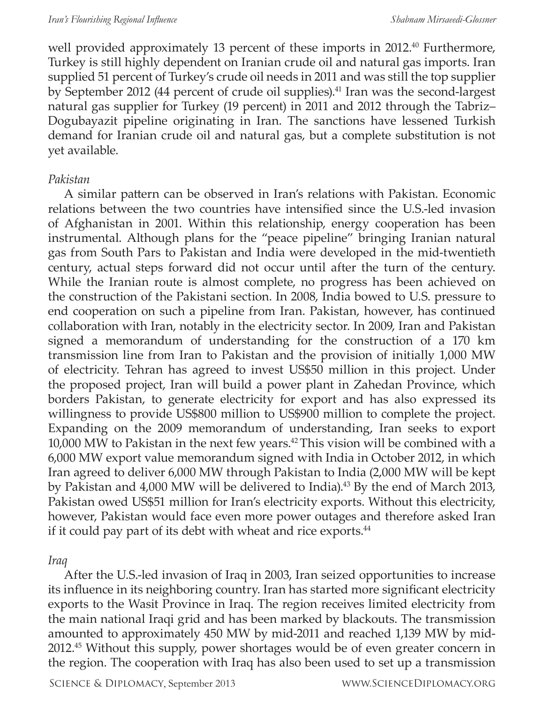well provided approximately 13 percent of these imports in 2012.<sup>40</sup> Furthermore, Turkey is still highly dependent on Iranian crude oil and natural gas imports. Iran supplied 51 percent of Turkey's crude oil needs in 2011 and was still the top supplier by September 2012 (44 percent of crude oil supplies).<sup>41</sup> Iran was the second-largest natural gas supplier for Turkey (19 percent) in 2011 and 2012 through the Tabriz– Dogubayazit pipeline originating in Iran. The sanctions have lessened Turkish demand for Iranian crude oil and natural gas, but a complete substitution is not yet available.

#### *Pakistan*

A similar pattern can be observed in Iran's relations with Pakistan. Economic relations between the two countries have intensified since the U.S.-led invasion of Afghanistan in 2001. Within this relationship, energy cooperation has been instrumental. Although plans for the "peace pipeline" bringing Iranian natural gas from South Pars to Pakistan and India were developed in the mid-twentieth century, actual steps forward did not occur until after the turn of the century. While the Iranian route is almost complete, no progress has been achieved on the construction of the Pakistani section. In 2008, India bowed to U.S. pressure to end cooperation on such a pipeline from Iran. Pakistan, however, has continued collaboration with Iran, notably in the electricity sector. In 2009, Iran and Pakistan signed a memorandum of understanding for the construction of a 170 km transmission line from Iran to Pakistan and the provision of initially 1,000 MW of electricity. Tehran has agreed to invest US\$50 million in this project. Under the proposed project, Iran will build a power plant in Zahedan Province, which borders Pakistan, to generate electricity for export and has also expressed its willingness to provide US\$800 million to US\$900 million to complete the project. Expanding on the 2009 memorandum of understanding, Iran seeks to export 10,000 MW to Pakistan in the next few years.<sup>42</sup> This vision will be combined with a 6,000 MW export value memorandum signed with India in October 2012, in which Iran agreed to deliver 6,000 MW through Pakistan to India (2,000 MW will be kept by Pakistan and 4,000 MW will be delivered to India).<sup>43</sup> By the end of March 2013, Pakistan owed US\$51 million for Iran's electricity exports. Without this electricity, however, Pakistan would face even more power outages and therefore asked Iran if it could pay part of its debt with wheat and rice exports.<sup>44</sup>

#### *Iraq*

After the U.S.-led invasion of Iraq in 2003, Iran seized opportunities to increase its influence in its neighboring country. Iran has started more significant electricity exports to the Wasit Province in Iraq. The region receives limited electricity from the main national Iraqi grid and has been marked by blackouts. The transmission amounted to approximately 450 MW by mid-2011 and reached 1,139 MW by mid-2012.45 Without this supply, power shortages would be of even greater concern in the region. The cooperation with Iraq has also been used to set up a transmission

SCIENCE & DIPLOMACY, September 2013 WWW.SCIENCEDIPLOMACY.ORG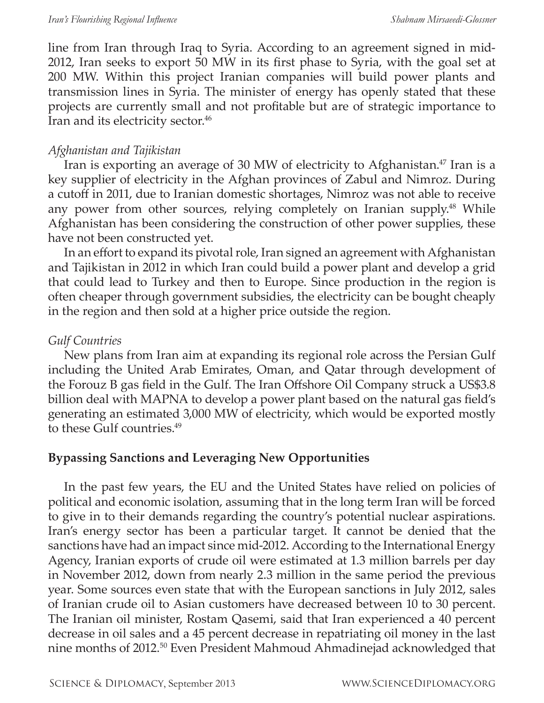line from Iran through Iraq to Syria. According to an agreement signed in mid-2012, Iran seeks to export 50 MW in its first phase to Syria, with the goal set at 200 MW. Within this project Iranian companies will build power plants and transmission lines in Syria. The minister of energy has openly stated that these projects are currently small and not profitable but are of strategic importance to Iran and its electricity sector.<sup>46</sup>

#### *Afghanistan and Tajikistan*

Iran is exporting an average of 30 MW of electricity to Afghanistan.<sup>47</sup> Iran is a key supplier of electricity in the Afghan provinces of Zabul and Nimroz. During a cutoff in 2011, due to Iranian domestic shortages, Nimroz was not able to receive any power from other sources, relying completely on Iranian supply.<sup>48</sup> While Afghanistan has been considering the construction of other power supplies, these have not been constructed yet.

In an effort to expand its pivotal role, Iran signed an agreement with Afghanistan and Tajikistan in 2012 in which Iran could build a power plant and develop a grid that could lead to Turkey and then to Europe. Since production in the region is often cheaper through government subsidies, the electricity can be bought cheaply in the region and then sold at a higher price outside the region.

### *Gulf Countries*

New plans from Iran aim at expanding its regional role across the Persian Gulf including the United Arab Emirates, Oman, and Qatar through development of the Forouz B gas field in the Gulf. The Iran Offshore Oil Company struck a US\$3.8 billion deal with MAPNA to develop a power plant based on the natural gas field's generating an estimated 3,000 MW of electricity, which would be exported mostly to these Gulf countries.<sup>49</sup>

### **Bypassing Sanctions and Leveraging New Opportunities**

In the past few years, the EU and the United States have relied on policies of political and economic isolation, assuming that in the long term Iran will be forced to give in to their demands regarding the country's potential nuclear aspirations. Iran's energy sector has been a particular target. It cannot be denied that the sanctions have had an impact since mid-2012. According to the International Energy Agency, Iranian exports of crude oil were estimated at 1.3 million barrels per day in November 2012, down from nearly 2.3 million in the same period the previous year. Some sources even state that with the European sanctions in July 2012, sales of Iranian crude oil to Asian customers have decreased between 10 to 30 percent. The Iranian oil minister, Rostam Qasemi, said that Iran experienced a 40 percent decrease in oil sales and a 45 percent decrease in repatriating oil money in the last nine months of 2012.50 Even President Mahmoud Ahmadinejad acknowledged that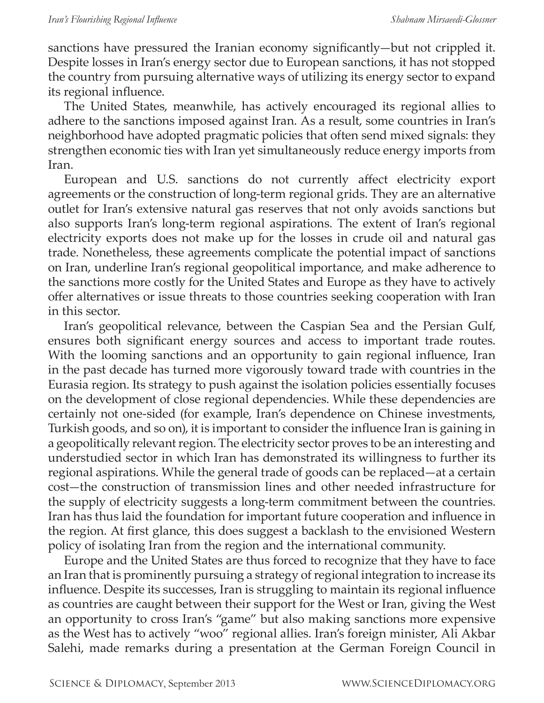sanctions have pressured the Iranian economy significantly—but not crippled it. Despite losses in Iran's energy sector due to European sanctions, it has not stopped the country from pursuing alternative ways of utilizing its energy sector to expand its regional influence.

The United States, meanwhile, has actively encouraged its regional allies to adhere to the sanctions imposed against Iran. As a result, some countries in Iran's neighborhood have adopted pragmatic policies that often send mixed signals: they strengthen economic ties with Iran yet simultaneously reduce energy imports from Iran.

European and U.S. sanctions do not currently affect electricity export agreements or the construction of long-term regional grids. They are an alternative outlet for Iran's extensive natural gas reserves that not only avoids sanctions but also supports Iran's long-term regional aspirations. The extent of Iran's regional electricity exports does not make up for the losses in crude oil and natural gas trade. Nonetheless, these agreements complicate the potential impact of sanctions on Iran, underline Iran's regional geopolitical importance, and make adherence to the sanctions more costly for the United States and Europe as they have to actively offer alternatives or issue threats to those countries seeking cooperation with Iran in this sector.

Iran's geopolitical relevance, between the Caspian Sea and the Persian Gulf, ensures both significant energy sources and access to important trade routes. With the looming sanctions and an opportunity to gain regional influence, Iran in the past decade has turned more vigorously toward trade with countries in the Eurasia region. Its strategy to push against the isolation policies essentially focuses on the development of close regional dependencies. While these dependencies are certainly not one-sided (for example, Iran's dependence on Chinese investments, Turkish goods, and so on), it is important to consider the influence Iran is gaining in a geopolitically relevant region. The electricity sector proves to be an interesting and understudied sector in which Iran has demonstrated its willingness to further its regional aspirations. While the general trade of goods can be replaced—at a certain cost—the construction of transmission lines and other needed infrastructure for the supply of electricity suggests a long-term commitment between the countries. Iran has thus laid the foundation for important future cooperation and influence in the region. At first glance, this does suggest a backlash to the envisioned Western policy of isolating Iran from the region and the international community.

Europe and the United States are thus forced to recognize that they have to face an Iran that is prominently pursuing a strategy of regional integration to increase its influence. Despite its successes, Iran is struggling to maintain its regional influence as countries are caught between their support for the West or Iran, giving the West an opportunity to cross Iran's "game" but also making sanctions more expensive as the West has to actively "woo" regional allies. Iran's foreign minister, Ali Akbar Salehi, made remarks during a presentation at the German Foreign Council in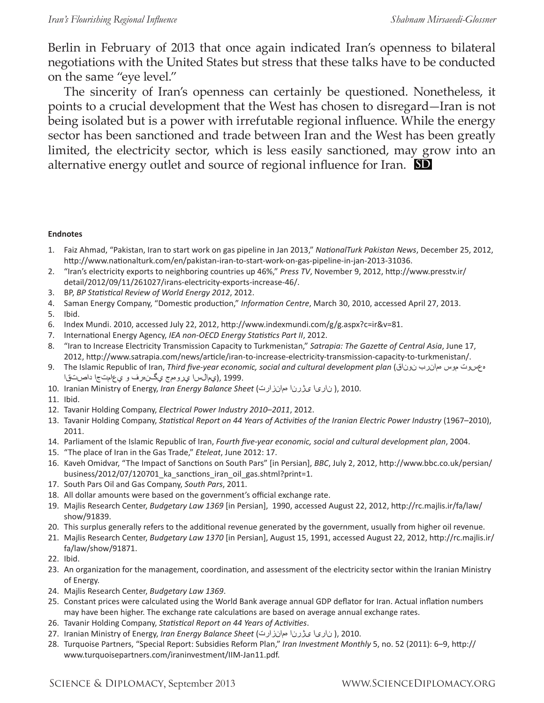Berlin in February of 2013 that once again indicated Iran's openness to bilateral negotiations with the United States but stress that these talks have to be conducted on the same "eye level."

The sincerity of Iran's openness can certainly be questioned. Nonetheless, it points to a crucial development that the West has chosen to disregard—Iran is not being isolated but is a power with irrefutable regional influence. While the energy sector has been sanctioned and trade between Iran and the West has been greatly limited, the electricity sector, which is less easily sanctioned, may grow into an alternative energy outlet and source of regional influence for Iran. **SD**

#### **Endnotes**

- 1. Faiz Ahmad, "Pakistan, Iran to start work on gas pipeline in Jan 2013," *NationalTurk Pakistan News*, December 25, 2012, http://www.nationalturk.com/en/pakistan-iran-to-start-work-on-gas-pipeline-in-jan-2013-31036.
- 2. "Iran's electricity exports to neighboring countries up 46%," *Press TV*, November 9, 2012, http://www.presstv.ir/ detail/2012/09/11/261027/irans-electricity-exports-increase-46/.
- 3. BP, *BP Statistical Review of World Energy 2012*, 2012.
- 4. Saman Energy Company, "Domestic production," *Information Centre*, March 30, 2010, accessed April 27, 2013.
- 5. Ibid.
- 6. Index Mundi. 2010, accessed July 22, 2012, http://www.indexmundi.com/g/g.aspx?c=ir&v=81.
- 7. International Energy Agency, *IEA non-OECD Energy Statistics Part II*, 2012.
- 8. "Iran to Increase Electricity Transmission Capacity to Turkmenistan," *Satrapia: The Gazette of Central Asia*, June 17, 2012, http://www.satrapia.com/news/article/iran-to-increase-electricity-transmission-capacity-to-turkmenistan/.
- 9. The Islamic Republic of Iran, *Third five-year economic, social and cultural development plan* (نوناق همانرب موس هعسوت 1999. ,(يمالسا يروهمج يگنهرف و يعامتجا داصتقا
- 10. Iranian Ministry of Energy, *Iran Energy Balance Sheet* (همانزارت یژرنا ناریا( , 2010.
- 11. Ibid.
- 12. Tavanir Holding Company, *Electrical Power Industry 2010–2011*, 2012.
- 13. Tavanir Holding Company, *Statistical Report on 44 Years of Activities of the Iranian Electric Power Industry* (1967–2010), 2011.
- 14. Parliament of the Islamic Republic of Iran, *Fourth five-year economic, social and cultural development plan*, 2004.
- 15. "The place of Iran in the Gas Trade," *Eteleat*, June 2012: 17.
- 16. Kaveh Omidvar, "The Impact of Sanctions on South Pars" [in Persian], *BBC*, July 2, 2012, http://www.bbc.co.uk/persian/ business/2012/07/120701\_ka\_sanctions\_iran\_oil\_gas.shtml?print=1.
- 17. South Pars Oil and Gas Company, *South Pars*, 2011.
- 18. All dollar amounts were based on the government's official exchange rate.
- 19. Majlis Research Center, *Budgetary Law 1369* [in Persian], 1990, accessed August 22, 2012, http://rc.majlis.ir/fa/law/ show/91839.
- 20. This surplus generally refers to the additional revenue generated by the government, usually from higher oil revenue.
- 21. Majlis Research Center, *Budgetary Law 1370* [in Persian], August 15, 1991, accessed August 22, 2012, http://rc.majlis.ir/ fa/law/show/91871.
- 22. Ibid.
- 23. An organization for the management, coordination, and assessment of the electricity sector within the Iranian Ministry of Energy.
- 24. Majlis Research Center, *Budgetary Law 1369*.
- 25. Constant prices were calculated using the World Bank average annual GDP deflator for Iran. Actual inflation numbers may have been higher. The exchange rate calculations are based on average annual exchange rates.
- 26. Tavanir Holding Company, *Statistical Report on 44 Years of Activities*.
- 27. Iranian Ministry of Energy, *Iran Energy Balance Sheet* (همانزارت یژرنا ناریا( , 2010.
- 28. Turquoise Partners, "Special Report: Subsidies Reform Plan," *Iran Investment Monthly* 5, no. 52 (2011): 6–9, http:// www.turquoisepartners.com/iraninvestment/IIM-Jan11.pdf.